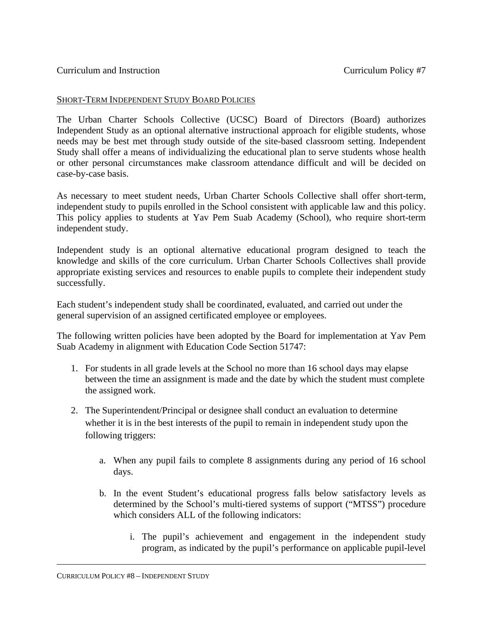## SHORT-TERM INDEPENDENT STUDY BOARD POLICIES

The Urban Charter Schools Collective (UCSC) Board of Directors (Board) authorizes Independent Study as an optional alternative instructional approach for eligible students, whose needs may be best met through study outside of the site-based classroom setting. Independent Study shall offer a means of individualizing the educational plan to serve students whose health or other personal circumstances make classroom attendance difficult and will be decided on case-by-case basis.

As necessary to meet student needs, Urban Charter Schools Collective shall offer short-term, independent study to pupils enrolled in the School consistent with applicable law and this policy. This policy applies to students at Yav Pem Suab Academy (School), who require short-term independent study.

Independent study is an optional alternative educational program designed to teach the knowledge and skills of the core curriculum. Urban Charter Schools Collectives shall provide appropriate existing services and resources to enable pupils to complete their independent study successfully.

Each student's independent study shall be coordinated, evaluated, and carried out under the general supervision of an assigned certificated employee or employees.

The following written policies have been adopted by the Board for implementation at Yav Pem Suab Academy in alignment with Education Code Section 51747:

- 1. For students in all grade levels at the School no more than 16 school days may elapse between the time an assignment is made and the date by which the student must complete the assigned work.
- 2. The Superintendent/Principal or designee shall conduct an evaluation to determine whether it is in the best interests of the pupil to remain in independent study upon the following triggers:
	- a. When any pupil fails to complete 8 assignments during any period of 16 school days.
	- b. In the event Student's educational progress falls below satisfactory levels as determined by the School's multi-tiered systems of support ("MTSS") procedure which considers ALL of the following indicators:
		- i. The pupil's achievement and engagement in the independent study program, as indicated by the pupil's performance on applicable pupil-level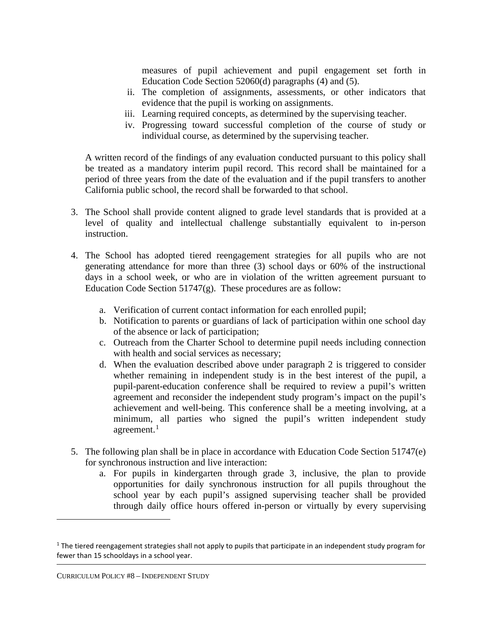measures of pupil achievement and pupil engagement set forth in Education Code Section 52060(d) paragraphs (4) and (5).

- ii. The completion of assignments, assessments, or other indicators that evidence that the pupil is working on assignments.
- iii. Learning required concepts, as determined by the supervising teacher.
- iv. Progressing toward successful completion of the course of study or individual course, as determined by the supervising teacher.

A written record of the findings of any evaluation conducted pursuant to this policy shall be treated as a mandatory interim pupil record. This record shall be maintained for a period of three years from the date of the evaluation and if the pupil transfers to another California public school, the record shall be forwarded to that school.

- 3. The School shall provide content aligned to grade level standards that is provided at a level of quality and intellectual challenge substantially equivalent to in-person instruction.
- 4. The School has adopted tiered reengagement strategies for all pupils who are not generating attendance for more than three (3) school days or 60% of the instructional days in a school week, or who are in violation of the written agreement pursuant to Education Code Section 51747(g). These procedures are as follow:
	- a. Verification of current contact information for each enrolled pupil;
	- b. Notification to parents or guardians of lack of participation within one school day of the absence or lack of participation;
	- c. Outreach from the Charter School to determine pupil needs including connection with health and social services as necessary;
	- d. When the evaluation described above under paragraph 2 is triggered to consider whether remaining in independent study is in the best interest of the pupil, a pupil-parent-education conference shall be required to review a pupil's written agreement and reconsider the independent study program's impact on the pupil's achievement and well-being. This conference shall be a meeting involving, at a minimum, all parties who signed the pupil's written independent study agreement. $1$
- 5. The following plan shall be in place in accordance with Education Code Section 51747(e) for synchronous instruction and live interaction:
	- a. For pupils in kindergarten through grade 3, inclusive, the plan to provide opportunities for daily synchronous instruction for all pupils throughout the school year by each pupil's assigned supervising teacher shall be provided through daily office hours offered in-person or virtually by every supervising

<sup>&</sup>lt;sup>1</sup> The tiered reengagement strategies shall not apply to pupils that participate in an independent study program for fewer than 15 schooldays in a school year.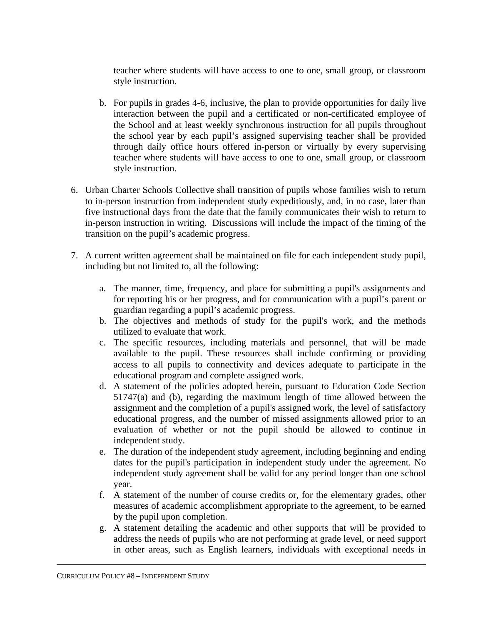teacher where students will have access to one to one, small group, or classroom style instruction.

- b. For pupils in grades 4-6, inclusive, the plan to provide opportunities for daily live interaction between the pupil and a certificated or non-certificated employee of the School and at least weekly synchronous instruction for all pupils throughout the school year by each pupil's assigned supervising teacher shall be provided through daily office hours offered in-person or virtually by every supervising teacher where students will have access to one to one, small group, or classroom style instruction.
- 6. Urban Charter Schools Collective shall transition of pupils whose families wish to return to in-person instruction from independent study expeditiously, and, in no case, later than five instructional days from the date that the family communicates their wish to return to in-person instruction in writing. Discussions will include the impact of the timing of the transition on the pupil's academic progress.
- 7. A current written agreement shall be maintained on file for each independent study pupil, including but not limited to, all the following:
	- a. The manner, time, frequency, and place for submitting a pupil's assignments and for reporting his or her progress, and for communication with a pupil's parent or guardian regarding a pupil's academic progress.
	- b. The objectives and methods of study for the pupil's work, and the methods utilized to evaluate that work.
	- c. The specific resources, including materials and personnel, that will be made available to the pupil. These resources shall include confirming or providing access to all pupils to connectivity and devices adequate to participate in the educational program and complete assigned work.
	- d. A statement of the policies adopted herein, pursuant to Education Code Section 51747(a) and (b), regarding the maximum length of time allowed between the assignment and the completion of a pupil's assigned work, the level of satisfactory educational progress, and the number of missed assignments allowed prior to an evaluation of whether or not the pupil should be allowed to continue in independent study.
	- e. The duration of the independent study agreement, including beginning and ending dates for the pupil's participation in independent study under the agreement. No independent study agreement shall be valid for any period longer than one school year.
	- f. A statement of the number of course credits or, for the elementary grades, other measures of academic accomplishment appropriate to the agreement, to be earned by the pupil upon completion.
	- g. A statement detailing the academic and other supports that will be provided to address the needs of pupils who are not performing at grade level, or need support in other areas, such as English learners, individuals with exceptional needs in